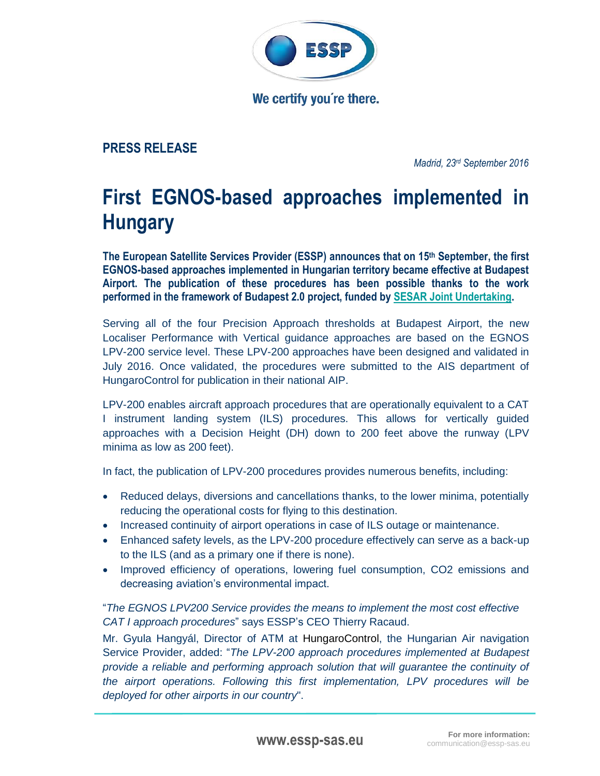

We certify you're there.

## **PRESS RELEASE**

*Madrid, 23 rd September 2016*

## **First EGNOS-based approaches implemented in Hungary**

**The European Satellite Services Provider (ESSP) announces that on 15th September, the first EGNOS-based approaches implemented in Hungarian territory became effective at Budapest Airport. The publication of these procedures has been possible thanks to the work performed in the framework of Budapest 2.0 project, funded by [SESAR Joint Undertaking.](http://www.sesarju.eu/)**

Serving all of the four Precision Approach thresholds at Budapest Airport, the new Localiser Performance with Vertical guidance approaches are based on the EGNOS LPV-200 service level. These LPV-200 approaches have been designed and validated in July 2016. Once validated, the procedures were submitted to the AIS department of HungaroControl for publication in their national AIP.

LPV-200 enables aircraft approach procedures that are operationally equivalent to a CAT I instrument landing system (ILS) procedures. This allows for vertically guided approaches with a Decision Height (DH) down to 200 feet above the runway (LPV minima as low as 200 feet).

In fact, the publication of LPV-200 procedures provides numerous benefits, including:

- Reduced delays, diversions and cancellations thanks, to the lower minima, potentially reducing the operational costs for flying to this destination.
- Increased continuity of airport operations in case of ILS outage or maintenance.
- Enhanced safety levels, as the LPV-200 procedure effectively can serve as a back-up to the ILS (and as a primary one if there is none).
- Improved efficiency of operations, lowering fuel consumption, CO2 emissions and decreasing aviation's environmental impact.

"*The EGNOS LPV200 Service provides the means to implement the most cost effective CAT I approach procedures*" says ESSP's CEO Thierry Racaud.

Mr. Gyula Hangyál, Director of ATM at HungaroControl, the Hungarian Air navigation Service Provider, added: "*The LPV-200 approach procedures implemented at Budapest provide a reliable and performing approach solution that will guarantee the continuity of the airport operations. Following this first implementation, LPV procedures will be deployed for other airports in our country*".